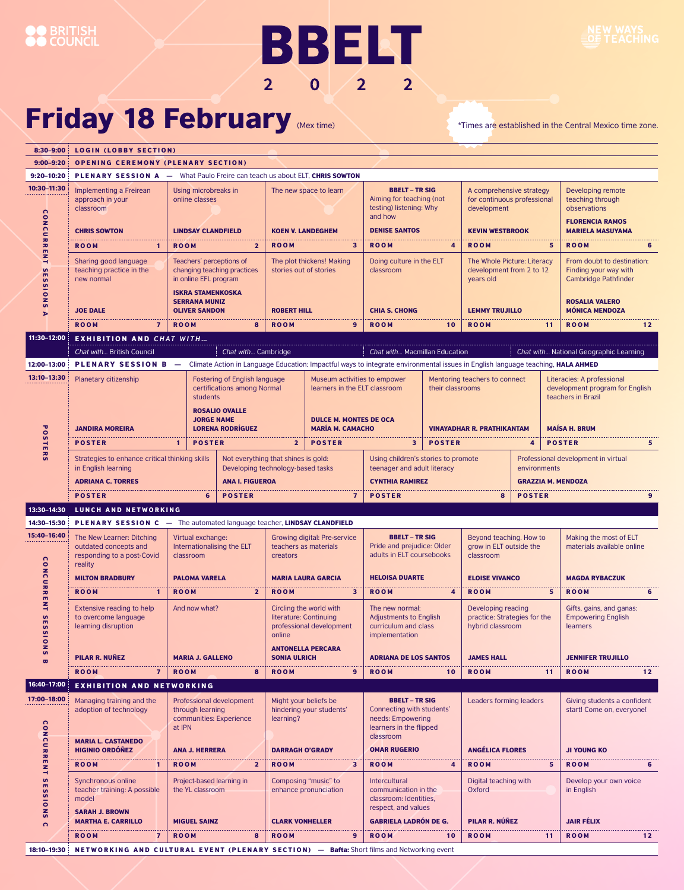# **BBELT**  $2022$

### Friday 18 February (Mex time) \*Times are established in the Central Mexico time zone.

**BRITISH**<br>COUNCIL

| 8:30-9:00                                                   | <b>LOGIN (LOBBY SECTION)</b>                                                                                               |                                                                                                                                                                                     |                          |                                                                                                                     |                                                          |                                                                                                                                 |                                   |                                                                                                  |                                                     |                                                                                                                     |                                                                                                            |                 |
|-------------------------------------------------------------|----------------------------------------------------------------------------------------------------------------------------|-------------------------------------------------------------------------------------------------------------------------------------------------------------------------------------|--------------------------|---------------------------------------------------------------------------------------------------------------------|----------------------------------------------------------|---------------------------------------------------------------------------------------------------------------------------------|-----------------------------------|--------------------------------------------------------------------------------------------------|-----------------------------------------------------|---------------------------------------------------------------------------------------------------------------------|------------------------------------------------------------------------------------------------------------|-----------------|
| $9:00 - 9:20$                                               | <b>OPENING CEREMONY (PLENARY SECTION)</b>                                                                                  |                                                                                                                                                                                     |                          |                                                                                                                     |                                                          |                                                                                                                                 |                                   |                                                                                                  |                                                     |                                                                                                                     |                                                                                                            |                 |
| $9:20 - 10:20$                                              | <b>PLENARY SESSION A - What Paulo Freire can teach us about ELT. CHRIS SOWTON</b>                                          |                                                                                                                                                                                     |                          |                                                                                                                     |                                                          |                                                                                                                                 |                                   |                                                                                                  |                                                     |                                                                                                                     |                                                                                                            |                 |
| 10:30-11:30<br>$\Omega$<br>ONCU<br>RRENT<br><b>SESSIONS</b> | Implementing a Freirean<br>approach in your<br>classroom<br><b>CHRIS SOWTON</b>                                            | Using microbreaks in<br>online classes<br><b>LINDSAY CLANDFIELD</b>                                                                                                                 |                          | The new space to learn<br><b>KOEN V. LANDEGHEM</b>                                                                  |                                                          | <b>BBELT - TR SIG</b><br>Aiming for teaching (not<br>testing) listening: Why<br>and how<br><b>DENISE SANTOS</b>                 |                                   | A comprehensive strategy<br>for continuous professional<br>development<br><b>KEVIN WESTBROOK</b> |                                                     |                                                                                                                     | Developing remote<br>teaching through<br>observations<br><b>FLORENCIA RAMOS</b><br><b>MARIELA MASUYAMA</b> |                 |
|                                                             |                                                                                                                            |                                                                                                                                                                                     |                          |                                                                                                                     |                                                          |                                                                                                                                 |                                   |                                                                                                  |                                                     |                                                                                                                     |                                                                                                            |                 |
|                                                             | <b>ROOM</b><br>Sharing good language<br>teaching practice in the<br>new normal                                             | <b>ROOM</b><br>$\mathbf{2}$<br>$\mathbf{1}$<br>Teachers' perceptions of<br>changing teaching practices<br>in online EFL program<br><b>ISKRA STAMENKOSKA</b><br><b>SERRANA MUNIZ</b> |                          | <b>ROOM</b><br>3<br>The plot thickens! Making<br>stories out of stories                                             |                                                          | <b>ROOM</b><br>4<br>Doing culture in the ELT<br>classroom                                                                       |                                   | <b>ROOM</b><br>5<br>The Whole Picture: Literacy<br>development from 2 to 12<br>vears old         |                                                     | <b>ROOM</b><br>From doubt to destination:<br>Finding your way with<br>Cambridge Pathfinder<br><b>ROSALIA VALERO</b> |                                                                                                            |                 |
| Þ                                                           | <b>JOE DALE</b>                                                                                                            | <b>OLIVER SANDON</b>                                                                                                                                                                |                          | <b>ROBERT HILL</b>                                                                                                  |                                                          | <b>CHIA S. CHONG</b>                                                                                                            |                                   | <b>LEMMY TRUJILLO</b>                                                                            |                                                     | <b>MÓNICA MENDOZA</b>                                                                                               |                                                                                                            |                 |
|                                                             | <b>ROOM</b><br>$\overline{7}$                                                                                              | <b>ROOM</b>                                                                                                                                                                         | 8                        | <b>ROOM</b>                                                                                                         | 9                                                        | <b>ROOM</b>                                                                                                                     | 10                                | <b>ROOM</b>                                                                                      |                                                     | 11                                                                                                                  | <b>ROOM</b>                                                                                                | 12              |
| 11:30-12:00                                                 | <b>EXHIBITION AND CHAT WITH</b>                                                                                            |                                                                                                                                                                                     |                          |                                                                                                                     |                                                          |                                                                                                                                 |                                   |                                                                                                  |                                                     |                                                                                                                     |                                                                                                            |                 |
|                                                             | Chat with British Council                                                                                                  |                                                                                                                                                                                     | Chat with Cambridge      |                                                                                                                     |                                                          | Chat with Macmillan Education                                                                                                   |                                   |                                                                                                  |                                                     |                                                                                                                     | Chat with National Geographic Learning                                                                     |                 |
| 12:00-13:00                                                 | PLENARY SESSION B -                                                                                                        |                                                                                                                                                                                     |                          |                                                                                                                     |                                                          | Climate Action in Language Education: Impactful ways to integrate environmental issues in English language teaching, HALA AHMED |                                   |                                                                                                  |                                                     |                                                                                                                     |                                                                                                            |                 |
| 13:10-13:30                                                 | Planetary citizenship<br>Fostering of English language<br>certifications among Normal<br>students<br><b>ROSALIO OVALLE</b> |                                                                                                                                                                                     |                          | Museum activities to empower<br>learners in the ELT classroom                                                       |                                                          | Mentoring teachers to connect<br>their classrooms                                                                               |                                   |                                                                                                  |                                                     |                                                                                                                     | Literacies: A professional<br>development program for English<br>teachers in Brazil                        |                 |
| ᠊ᢦ                                                          | <b>JANDIRA MOREIRA</b>                                                                                                     |                                                                                                                                                                                     | <b>JORGE NAME</b>        |                                                                                                                     | <b>DULCE M. MONTES DE OCA</b><br><b>MARÍA M. CAMACHO</b> |                                                                                                                                 |                                   |                                                                                                  |                                                     | <b>MAÍSA H. BRUM</b>                                                                                                |                                                                                                            |                 |
| $\overline{\mathbf{s}}$                                     |                                                                                                                            |                                                                                                                                                                                     |                          | <b>LORENA RODRÍGUEZ</b>                                                                                             |                                                          |                                                                                                                                 | <b>VINAYADHAR R. PRATHIKANTAM</b> |                                                                                                  |                                                     |                                                                                                                     |                                                                                                            |                 |
| <b>TERS</b>                                                 | <b>POSTER</b>                                                                                                              | <b>POSTER</b><br>1                                                                                                                                                                  |                          | <b>POSTER</b><br>$\mathbf{2}$                                                                                       |                                                          | 3                                                                                                                               | <b>POSTER</b>                     |                                                                                                  | 4                                                   |                                                                                                                     | <b>POSTER</b>                                                                                              | 5               |
|                                                             | Strategies to enhance critical thinking skills<br>in English learning                                                      |                                                                                                                                                                                     |                          | Not everything that shines is gold:<br>Developing technology-based tasks                                            |                                                          | Using children's stories to promote<br>teenager and adult literacy                                                              |                                   |                                                                                                  | Professional development in virtual<br>environments |                                                                                                                     |                                                                                                            |                 |
|                                                             | <b>ANA I. FIGUEROA</b><br><b>ADRIANA C. TORRES</b>                                                                         |                                                                                                                                                                                     |                          |                                                                                                                     |                                                          | <b>CYNTHIA RAMIREZ</b>                                                                                                          |                                   | <b>GRAZZIA M. MENDOZA</b>                                                                        |                                                     |                                                                                                                     |                                                                                                            |                 |
|                                                             | <b>POSTER</b><br>6<br><b>POSTER</b>                                                                                        |                                                                                                                                                                                     |                          | $\overline{7}$                                                                                                      |                                                          | <b>POSTER</b>                                                                                                                   |                                   | 8<br><b>POSTER</b>                                                                               |                                                     | 9                                                                                                                   |                                                                                                            |                 |
| 13:30-14:30                                                 | LUNCH AND NETWORKING                                                                                                       |                                                                                                                                                                                     |                          |                                                                                                                     |                                                          |                                                                                                                                 |                                   |                                                                                                  |                                                     |                                                                                                                     |                                                                                                            |                 |
| 14:30-15:30                                                 | PLENARY SESSION C - The automated language teacher, LINDSAY CLANDFIELD                                                     |                                                                                                                                                                                     |                          |                                                                                                                     |                                                          |                                                                                                                                 |                                   |                                                                                                  |                                                     |                                                                                                                     |                                                                                                            |                 |
| 15:40-16:40                                                 | The New Learner: Ditching                                                                                                  | Virtual exchange:                                                                                                                                                                   |                          | Growing digital: Pre-service                                                                                        |                                                          | <b>BBELT - TR SIG</b>                                                                                                           |                                   | Beyond teaching. How to                                                                          |                                                     |                                                                                                                     | Making the most of ELT                                                                                     |                 |
| CONCURRENT                                                  | outdated concepts and<br>responding to a post-Covid<br>reality                                                             | Internationalising the ELT<br>classroom                                                                                                                                             |                          | teachers as materials<br>creators                                                                                   |                                                          | Pride and prejudice: Older<br>adults in ELT coursebooks                                                                         |                                   | grow in ELT outside the<br>classroom                                                             |                                                     |                                                                                                                     | materials available online                                                                                 |                 |
|                                                             | <b>MILTON BRADBURY</b>                                                                                                     | <b>PALOMA VARELA</b>                                                                                                                                                                |                          | <b>MARIA LAURA GARCIA</b>                                                                                           |                                                          | <b>HELOISA DUARTE</b>                                                                                                           |                                   | <b>ELOISE VIVANCO</b>                                                                            |                                                     |                                                                                                                     | <b>MAGDA RYBACZUK</b>                                                                                      |                 |
|                                                             | <b>ROOM</b><br>$\mathbf{1}$                                                                                                | <b>ROOM</b>                                                                                                                                                                         | $\overline{2}$           | <b>ROOM</b>                                                                                                         | 3                                                        | <b>ROOM</b>                                                                                                                     | 4                                 | <b>ROOM</b>                                                                                      |                                                     | 5 <sub>1</sub>                                                                                                      | <b>ROOM</b>                                                                                                | 6               |
| <b>S</b><br>ESS10<br>S                                      | Extensive reading to help<br>to overcome language<br>learning disruption                                                   | And now what?                                                                                                                                                                       |                          | Circling the world with<br>literature: Continuing<br>professional development<br>online<br><b>ANTONELLA PERCARA</b> |                                                          | The new normal:<br><b>Adjustments to English</b><br>curriculum and class<br>implementation                                      |                                   | Developing reading<br>practice: Strategies for the<br>hybrid classroom                           |                                                     | Gifts, gains, and ganas:<br><b>Empowering English</b><br>learners                                                   |                                                                                                            |                 |
| $\overline{u}$                                              | <b>PILAR R. NUÑEZ</b>                                                                                                      | <b>MARIA J. GALLENO</b>                                                                                                                                                             |                          | <b>SONIA ULRICH</b>                                                                                                 |                                                          | <b>ADRIANA DE LOS SANTOS</b>                                                                                                    |                                   | <b>JAMES HALL</b>                                                                                |                                                     |                                                                                                                     | <b>JENNIFER TRUJILLO</b>                                                                                   |                 |
|                                                             | $\overline{\mathbf{z}}$<br><b>ROOM</b>                                                                                     | <b>ROOM</b>                                                                                                                                                                         | 8                        | <b>ROOM</b>                                                                                                         | 9                                                        | <b>ROOM</b>                                                                                                                     | 10                                | <b>ROOM</b>                                                                                      |                                                     | 11                                                                                                                  | <b>ROOM</b>                                                                                                | 12              |
| 16:40-17:00                                                 | <b>EXHIBITION AND NETWORKING</b>                                                                                           |                                                                                                                                                                                     |                          |                                                                                                                     |                                                          |                                                                                                                                 |                                   |                                                                                                  |                                                     |                                                                                                                     |                                                                                                            |                 |
| 17:00-18:00<br>$\Omega$<br>ONCURRENT                        | Managing training and the<br>adoption of technology<br><b>MARIA L. CASTANEDO</b>                                           | through learning<br>communities: Experience<br>at IPN                                                                                                                               | Professional development | Might your beliefs be<br>hindering your students'<br>learning?                                                      |                                                          | <b>BBELT - TR SIG</b><br>Connecting with students'<br>needs: Empowering<br>learners in the flipped<br>classroom                 |                                   | Leaders forming leaders                                                                          |                                                     |                                                                                                                     | Giving students a confident<br>start! Come on, everyone!                                                   |                 |
|                                                             | <b>HIGINIO ORDÓÑEZ</b>                                                                                                     | <b>ANA J. HERRERA</b>                                                                                                                                                               |                          | <b>DARRAGH O'GRADY</b>                                                                                              |                                                          | <b>OMAR RUGERIO</b>                                                                                                             |                                   | <b>ANGÉLICA FLORES</b>                                                                           |                                                     |                                                                                                                     | <b>JI YOUNG KO</b>                                                                                         |                 |
|                                                             | <b>ROOM</b><br>$\mathbf{1}$                                                                                                | <b>ROOM</b>                                                                                                                                                                         | $\overline{2}$           | <b>ROOM</b>                                                                                                         | 3                                                        | <b>ROOM</b>                                                                                                                     | 4                                 | <b>ROOM</b>                                                                                      |                                                     | 5                                                                                                                   | <b>ROOM</b>                                                                                                | 6               |
| <b>SESSIONS</b><br>$\Omega$                                 | Synchronous online<br>teacher training: A possible<br>model<br><b>SARAH J. BROWN</b>                                       | Project-based learning in<br>the YL classroom                                                                                                                                       |                          | Composing "music" to<br>enhance pronunciation                                                                       |                                                          | <b>Intercultural</b><br>communication in the<br>classroom: Identities.<br>respect, and values                                   |                                   | Digital teaching with<br><b>Oxford</b>                                                           |                                                     | Develop your own voice<br>in English                                                                                |                                                                                                            |                 |
|                                                             | <b>MARTHA E. CARRILLO</b>                                                                                                  | <b>MIGUEL SAINZ</b>                                                                                                                                                                 |                          | <b>CLARK VONHELLER</b>                                                                                              |                                                          | <b>GABRIELA LADRÓN DE G.</b>                                                                                                    |                                   | PILAR R. NÚÑEZ                                                                                   |                                                     | <b>JAIR FÉLIX</b>                                                                                                   |                                                                                                            |                 |
|                                                             | <b>ROOM</b><br>$\overline{7}$                                                                                              | <b>ROOM</b>                                                                                                                                                                         | 8                        | <b>ROOM</b>                                                                                                         | 9                                                        | <b>ROOM</b>                                                                                                                     | 10                                | <b>ROOM</b>                                                                                      |                                                     | 11                                                                                                                  | <b>ROOM</b>                                                                                                | 12 <sub>1</sub> |

18:10-19:30 NETWORKING AND CULTURAL EVENT (PLENARY SECTION) - Bafta: Short films and Networking event